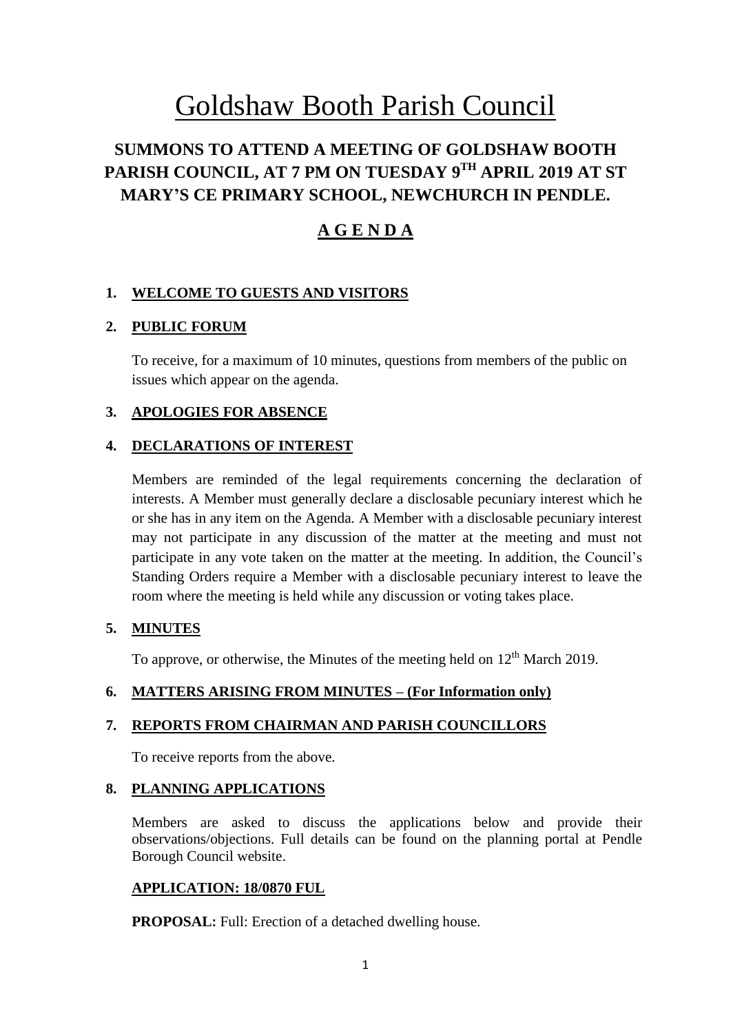# Goldshaw Booth Parish Council

# **SUMMONS TO ATTEND A MEETING OF GOLDSHAW BOOTH PARISH COUNCIL, AT 7 PM ON TUESDAY 9 TH APRIL 2019 AT ST MARY'S CE PRIMARY SCHOOL, NEWCHURCH IN PENDLE.**

# **A G E N D A**

# **1. WELCOME TO GUESTS AND VISITORS**

# **2. PUBLIC FORUM**

To receive, for a maximum of 10 minutes, questions from members of the public on issues which appear on the agenda.

# **3. APOLOGIES FOR ABSENCE**

# **4. DECLARATIONS OF INTEREST**

Members are reminded of the legal requirements concerning the declaration of interests. A Member must generally declare a disclosable pecuniary interest which he or she has in any item on the Agenda. A Member with a disclosable pecuniary interest may not participate in any discussion of the matter at the meeting and must not participate in any vote taken on the matter at the meeting. In addition, the Council's Standing Orders require a Member with a disclosable pecuniary interest to leave the room where the meeting is held while any discussion or voting takes place.

# **5. MINUTES**

To approve, or otherwise, the Minutes of the meeting held on  $12<sup>th</sup>$  March 2019.

# **6. MATTERS ARISING FROM MINUTES – (For Information only)**

# **7. REPORTS FROM CHAIRMAN AND PARISH COUNCILLORS**

To receive reports from the above.

# **8. PLANNING APPLICATIONS**

Members are asked to discuss the applications below and provide their observations/objections. Full details can be found on the planning portal at Pendle Borough Council website.

# **APPLICATION: 18/0870 FUL**

**PROPOSAL:** Full: Erection of a detached dwelling house.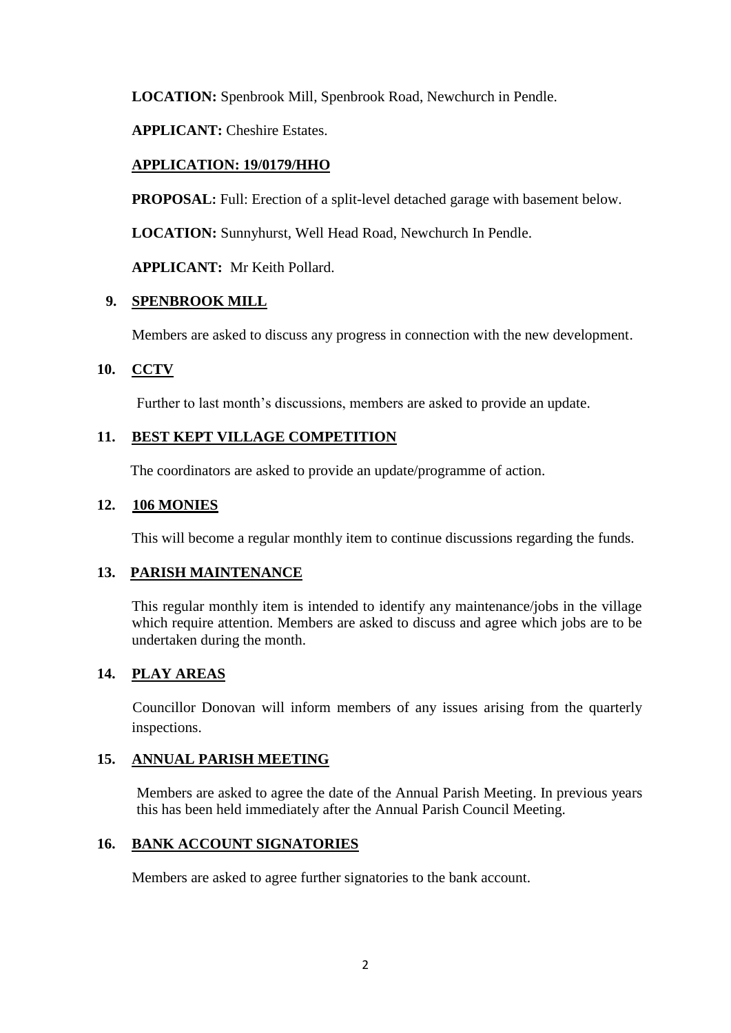**LOCATION:** Spenbrook Mill, Spenbrook Road, Newchurch in Pendle.

**APPLICANT:** Cheshire Estates.

# **APPLICATION: 19/0179/HHO**

**PROPOSAL:** Full: Erection of a split-level detached garage with basement below.

**LOCATION:** Sunnyhurst, Well Head Road, Newchurch In Pendle.

**APPLICANT:** Mr Keith Pollard.

## **9. SPENBROOK MILL**

Members are asked to discuss any progress in connection with the new development.

## **10. CCTV**

Further to last month's discussions, members are asked to provide an update.

# **11. BEST KEPT VILLAGE COMPETITION**

The coordinators are asked to provide an update/programme of action.

## **12. 106 MONIES**

This will become a regular monthly item to continue discussions regarding the funds.

#### **13. PARISH MAINTENANCE**

This regular monthly item is intended to identify any maintenance/jobs in the village which require attention. Members are asked to discuss and agree which jobs are to be undertaken during the month.

# **14. PLAY AREAS**

Councillor Donovan will inform members of any issues arising from the quarterly inspections.

#### **15. ANNUAL PARISH MEETING**

Members are asked to agree the date of the Annual Parish Meeting. In previous years this has been held immediately after the Annual Parish Council Meeting.

## **16. BANK ACCOUNT SIGNATORIES**

Members are asked to agree further signatories to the bank account.